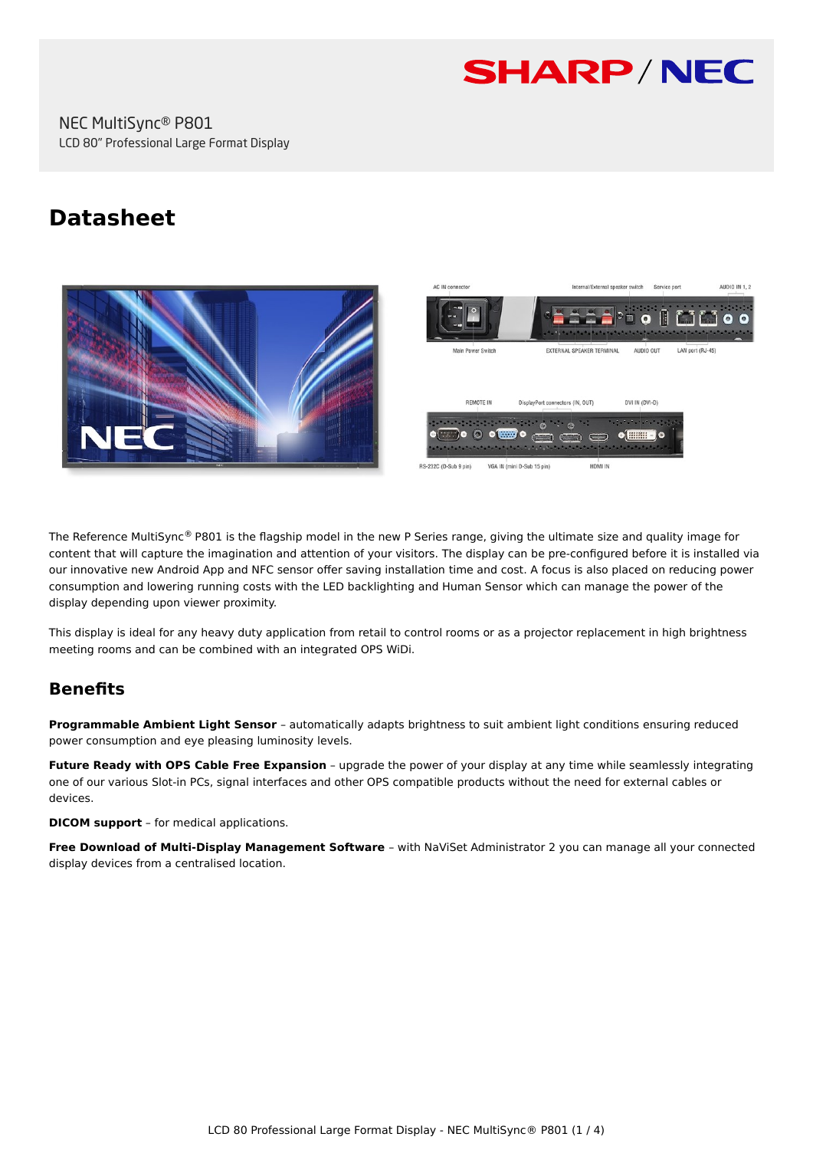

NEC MultiSync® P801 LCD 80" Professional Large Format Display

# **Datasheet**



The Reference MultiSync<sup>®</sup> P801 is the flagship model in the new P Series range, giving the ultimate size and quality image for content that will capture the imagination and attention of your visitors. The display can be pre-configured before it is installed via our innovative new Android App and NFC sensor offer saving installation time and cost. A focus is also placed on reducing power consumption and lowering running costs with the LED backlighting and Human Sensor which can manage the power of the display depending upon viewer proximity.

This display is ideal for any heavy duty application from retail to control rooms or as a projector replacement in high brightness meeting rooms and can be combined with an integrated OPS WiDi.

# **Benefits**

**Programmable Ambient Light Sensor** – automatically adapts brightness to suit ambient light conditions ensuring reduced power consumption and eye pleasing luminosity levels.

**Future Ready with OPS Cable Free Expansion** – upgrade the power of your display at any time while seamlessly integrating one of our various Slot-in PCs, signal interfaces and other OPS compatible products without the need for external cables or devices.

**DICOM support** – for medical applications.

**Free Download of Multi-Display Management Software** – with NaViSet Administrator 2 you can manage all your connected display devices from a centralised location.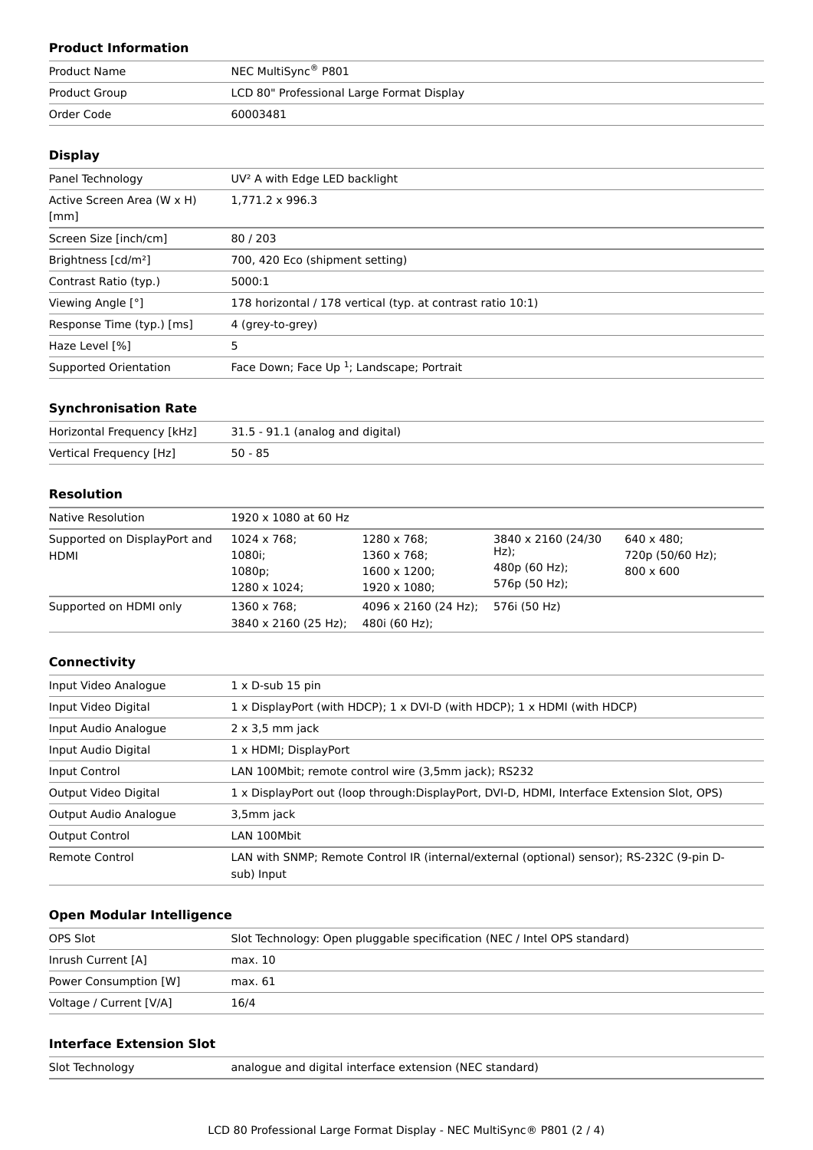# **Product Information**

| <b>Product Name</b> | NEC MultiSync® P801                       |
|---------------------|-------------------------------------------|
| Product Group       | LCD 80" Professional Large Format Display |
| Order Code          | 60003481                                  |

## **Display**

| UV <sup>2</sup> A with Edge LED backlight                   |
|-------------------------------------------------------------|
| $1.771.2 \times 996.3$                                      |
| 80/203                                                      |
| 700, 420 Eco (shipment setting)                             |
| 5000:1                                                      |
| 178 horizontal / 178 vertical (typ. at contrast ratio 10:1) |
| 4 (grey-to-grey)                                            |
|                                                             |
| Face Down; Face Up <sup>1</sup> ; Landscape; Portrait       |
|                                                             |

## **Synchronisation Rate**

| Horizontal Frequency [kHz] | 31.5 - 91.1 (analog and digital) |
|----------------------------|----------------------------------|
| Vertical Frequency [Hz]    | $50 - 85$                        |

#### **Resolution**

| Native Resolution                           | 1920 x 1080 at 60 Hz                            |                                                                    |                                                                  |                                                            |
|---------------------------------------------|-------------------------------------------------|--------------------------------------------------------------------|------------------------------------------------------------------|------------------------------------------------------------|
| Supported on DisplayPort and<br><b>HDMI</b> | 1024 x 768;<br>1080i;<br>1080p;<br>1280 x 1024; | 1280 x 768;<br>1360 x 768;<br>$1600 \times 1200$ ;<br>1920 x 1080: | 3840 x 2160 (24/30)<br>$Hz$ );<br>480p (60 Hz);<br>576p (50 Hz); | $640 \times 480$ :<br>720p (50/60 Hz);<br>$800 \times 600$ |
| Supported on HDMI only                      | 1360 x 768;<br>3840 x 2160 (25 Hz);             | $4096 \times 2160$ (24 Hz);<br>480i (60 Hz);                       | 576i (50 Hz)                                                     |                                                            |

#### **Connectivity**

| Input Video Analogue  | $1 \times D$ -sub 15 pin                                                                                |
|-----------------------|---------------------------------------------------------------------------------------------------------|
| Input Video Digital   | $1 \times$ DisplayPort (with HDCP); $1 \times$ DVI-D (with HDCP); $1 \times$ HDMI (with HDCP)           |
| Input Audio Analogue  | $2 \times 3.5$ mm jack                                                                                  |
| Input Audio Digital   | 1 x HDMI; DisplayPort                                                                                   |
| Input Control         | LAN 100Mbit; remote control wire (3,5mm jack); RS232                                                    |
| Output Video Digital  | 1 x DisplayPort out (loop through:DisplayPort, DVI-D, HDMI, Interface Extension Slot, OPS)              |
| Output Audio Analogue | 3,5mm jack                                                                                              |
| <b>Output Control</b> | LAN 100Mbit                                                                                             |
| Remote Control        | LAN with SNMP; Remote Control IR (internal/external (optional) sensor); RS-232C (9-pin D-<br>sub) Input |

# **Open Modular Intelligence**

| OPS Slot                | Slot Technology: Open pluggable specification (NEC / Intel OPS standard) |
|-------------------------|--------------------------------------------------------------------------|
| Inrush Current [A]      | max. 10                                                                  |
| Power Consumption [W]   | max. 61                                                                  |
| Voltage / Current [V/A] | 16/4                                                                     |

## **Interface Extension Slot**

analogue and digital interface extension (NEC standard)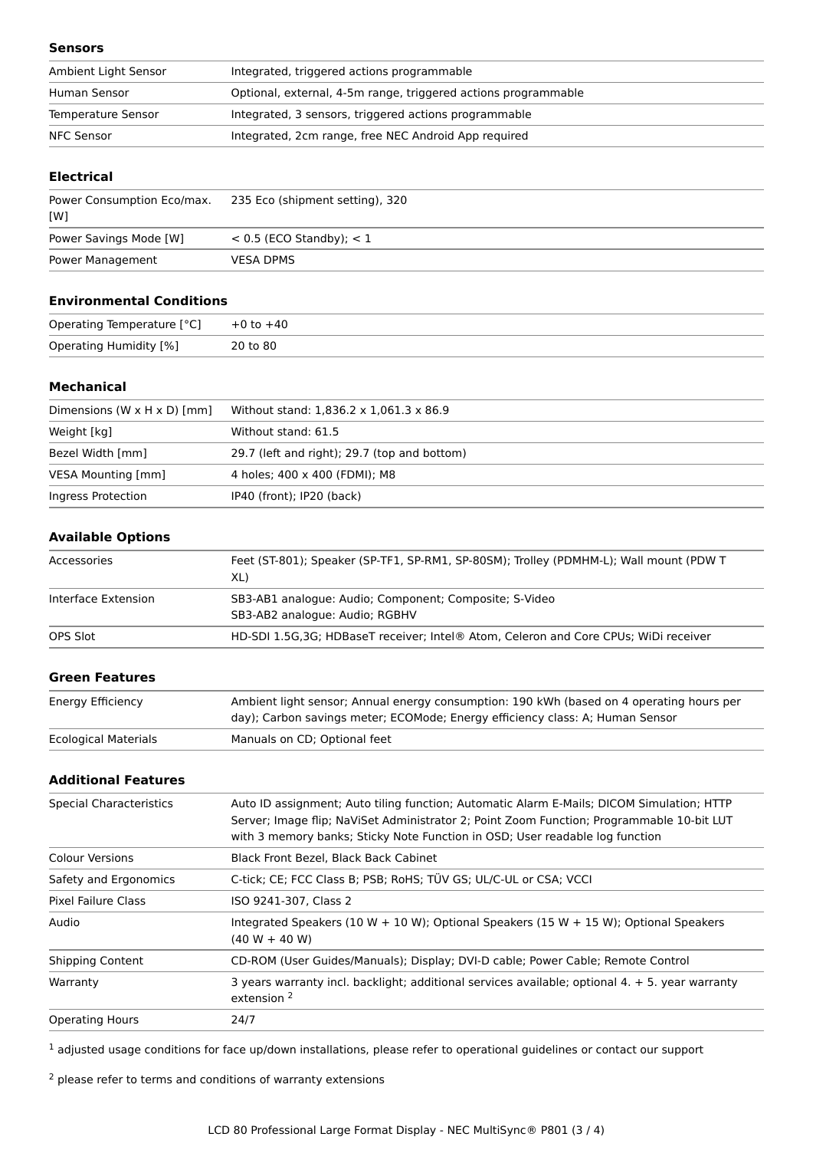#### **Sensors**

| Ambient Light Sensor | Integrated, triggered actions programmable                     |
|----------------------|----------------------------------------------------------------|
| Human Sensor         | Optional, external, 4-5m range, triggered actions programmable |
| Temperature Sensor   | Integrated, 3 sensors, triggered actions programmable          |
| NFC Sensor           | Integrated, 2cm range, free NEC Android App required           |

#### **Electrical**

| Power Consumption Eco/max.<br>[W] | 235 Eco (shipment setting), 320 |
|-----------------------------------|---------------------------------|
| Power Savings Mode [W]            | $< 0.5$ (ECO Standby); $< 1$    |
| Power Management                  | <b>VESA DPMS</b>                |

# **Environmental Conditions**

| Operating Temperature [°C]    | $+0$ to $+40$ |
|-------------------------------|---------------|
| <b>Operating Humidity [%]</b> | 20 to 80      |

#### **Mechanical**

| Dimensions $(W \times H \times D)$ [mm] | Without stand: 1,836.2 x 1,061.3 x 86.9      |
|-----------------------------------------|----------------------------------------------|
| Weight [kg]                             | Without stand: 61.5                          |
| Bezel Width [mm]                        | 29.7 (left and right); 29.7 (top and bottom) |
| VESA Mounting [mm]                      | 4 holes; 400 x 400 (FDMI); M8                |
| Ingress Protection                      | IP40 (front); IP20 (back)                    |

# **Available Options**

| Accessories         | Feet (ST-801); Speaker (SP-TF1, SP-RM1, SP-80SM); Trolley (PDMHM-L); Wall mount (PDW T<br>XL) |
|---------------------|-----------------------------------------------------------------------------------------------|
| Interface Extension | SB3-AB1 analogue: Audio; Component; Composite; S-Video<br>SB3-AB2 analogue: Audio; RGBHV      |
| OPS Slot            | HD-SDI 1.5G, 3G; HDBaseT receiver; Intel® Atom, Celeron and Core CPUs; WiDi receiver          |

#### **Green Features**

| <b>Ecological Materials</b> | day); Carbon savings meter; ECOMode; Energy efficiency class: A; Human Sensor<br>Manuals on CD; Optional feet |
|-----------------------------|---------------------------------------------------------------------------------------------------------------|
|                             |                                                                                                               |

## **Additional Features**

| <b>Special Characteristics</b> | Auto ID assignment; Auto tiling function; Automatic Alarm E-Mails; DICOM Simulation; HTTP<br>Server; Image flip; NaViSet Administrator 2; Point Zoom Function; Programmable 10-bit LUT<br>with 3 memory banks; Sticky Note Function in OSD; User readable log function |
|--------------------------------|------------------------------------------------------------------------------------------------------------------------------------------------------------------------------------------------------------------------------------------------------------------------|
| <b>Colour Versions</b>         | Black Front Bezel, Black Back Cabinet                                                                                                                                                                                                                                  |
| Safety and Ergonomics          | C-tick; CE; FCC Class B; PSB; RoHS; TÜV GS; UL/C-UL or CSA; VCCI                                                                                                                                                                                                       |
| Pixel Failure Class            | ISO 9241-307, Class 2                                                                                                                                                                                                                                                  |
| Audio                          | Integrated Speakers (10 W + 10 W); Optional Speakers (15 W + 15 W); Optional Speakers<br>$(40 W + 40 W)$                                                                                                                                                               |
| <b>Shipping Content</b>        | CD-ROM (User Guides/Manuals); Display; DVI-D cable; Power Cable; Remote Control                                                                                                                                                                                        |
| Warranty                       | 3 years warranty incl. backlight; additional services available; optional $4. + 5$ . year warranty<br>extension <sup>2</sup>                                                                                                                                           |
| <b>Operating Hours</b>         | 24/7                                                                                                                                                                                                                                                                   |
|                                |                                                                                                                                                                                                                                                                        |

<sup>1</sup> adjusted usage conditions for face up/down installations, please refer to operational guidelines or contact our support

<sup>2</sup> please refer to terms and conditions of warranty extensions